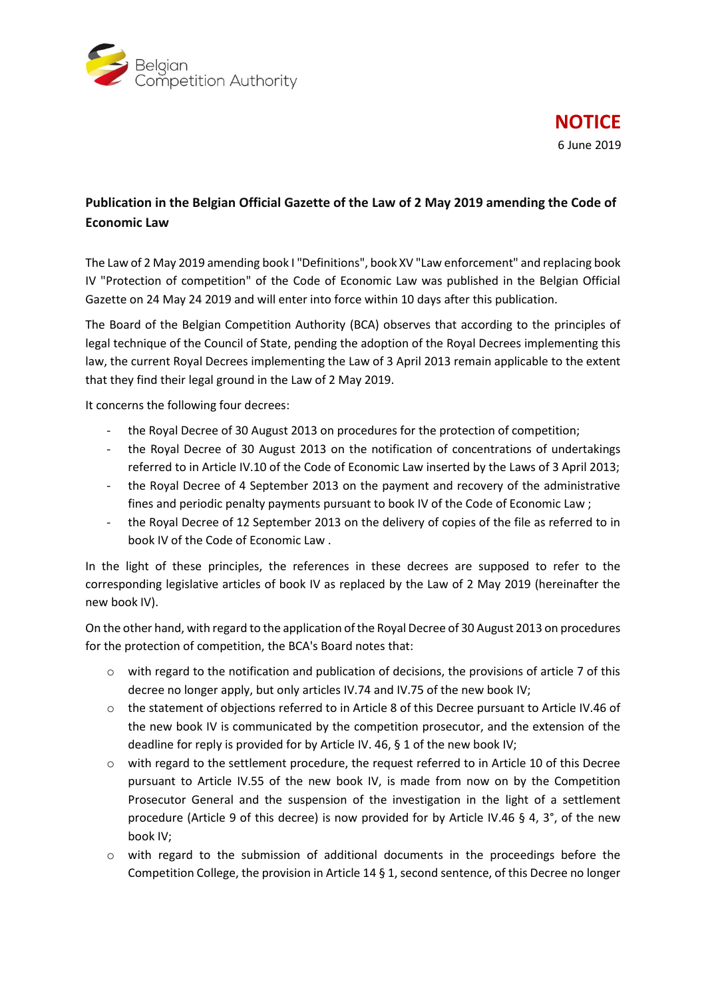

## **Publication in the Belgian Official Gazette of the Law of 2 May 2019 amending the Code of Economic Law**

The Law of 2 May 2019 amending book I "Definitions", book XV "Law enforcement" and replacing book IV "Protection of competition" of the Code of Economic Law was published in the Belgian Official Gazette on 24 May 24 2019 and will enter into force within 10 days after this publication.

The Board of the Belgian Competition Authority (BCA) observes that according to the principles of legal technique of the Council of State, pending the adoption of the Royal Decrees implementing this law, the current Royal Decrees implementing the Law of 3 April 2013 remain applicable to the extent that they find their legal ground in the Law of 2 May 2019.

It concerns the following four decrees:

- the Royal Decree of 30 August 2013 on procedures for the protection of competition;
- the Royal Decree of 30 August 2013 on the notification of concentrations of undertakings referred to in Article IV.10 of the Code of Economic Law inserted by the Laws of 3 April 2013;
- the Royal Decree of 4 September 2013 on the payment and recovery of the administrative fines and periodic penalty payments pursuant to book IV of the Code of Economic Law ;
- the Royal Decree of 12 September 2013 on the delivery of copies of the file as referred to in book IV of the Code of Economic Law .

In the light of these principles, the references in these decrees are supposed to refer to the corresponding legislative articles of book IV as replaced by the Law of 2 May 2019 (hereinafter the new book IV).

On the other hand, with regard to the application of the Royal Decree of 30 August 2013 on procedures for the protection of competition, the BCA's Board notes that:

- $\circ$  with regard to the notification and publication of decisions, the provisions of article 7 of this decree no longer apply, but only articles IV.74 and IV.75 of the new book IV;
- o the statement of objections referred to in Article 8 of this Decree pursuant to Article IV.46 of the new book IV is communicated by the competition prosecutor, and the extension of the deadline for reply is provided for by Article IV. 46, § 1 of the new book IV;
- $\circ$  with regard to the settlement procedure, the request referred to in Article 10 of this Decree pursuant to Article IV.55 of the new book IV, is made from now on by the Competition Prosecutor General and the suspension of the investigation in the light of a settlement procedure (Article 9 of this decree) is now provided for by Article IV.46 § 4, 3°, of the new book IV;
- o with regard to the submission of additional documents in the proceedings before the Competition College, the provision in Article 14 § 1, second sentence, of this Decree no longer